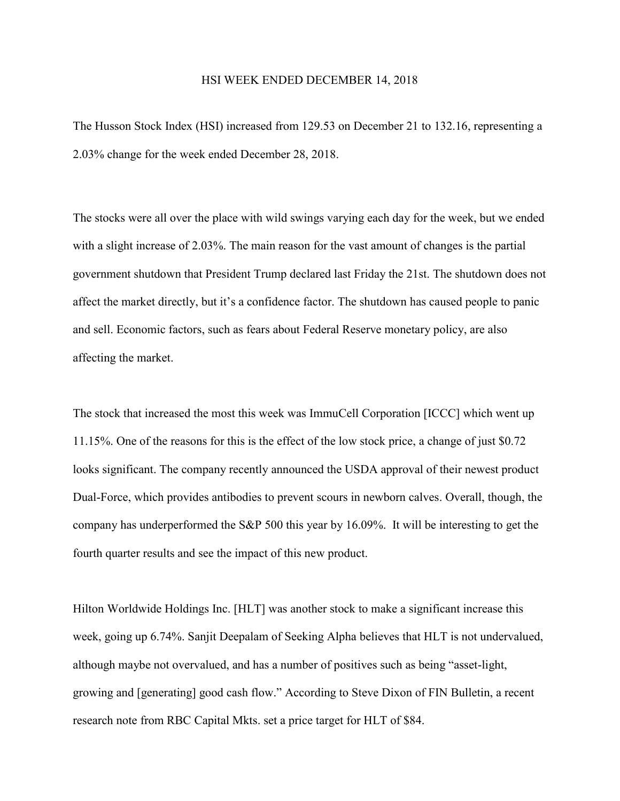## HSI WEEK ENDED DECEMBER 14, 2018

The Husson Stock Index (HSI) increased from 129.53 on December 21 to 132.16, representing a 2.03% change for the week ended December 28, 2018.

The stocks were all over the place with wild swings varying each day for the week, but we ended with a slight increase of 2.03%. The main reason for the vast amount of changes is the partial government shutdown that President Trump declared last Friday the 21st. The shutdown does not affect the market directly, but it's a confidence factor. The shutdown has caused people to panic and sell. Economic factors, such as fears about Federal Reserve monetary policy, are also affecting the market.

The stock that increased the most this week was ImmuCell Corporation [ICCC] which went up 11.15%. One of the reasons for this is the effect of the low stock price, a change of just \$0.72 looks significant. The company recently announced the USDA approval of their newest product Dual-Force, which provides antibodies to prevent scours in newborn calves. Overall, though, the company has underperformed the S&P 500 this year by 16.09%. It will be interesting to get the fourth quarter results and see the impact of this new product.

Hilton Worldwide Holdings Inc. [HLT] was another stock to make a significant increase this week, going up 6.74%. Sanjit Deepalam of Seeking Alpha believes that HLT is not undervalued, although maybe not overvalued, and has a number of positives such as being "asset-light, growing and [generating] good cash flow." According to Steve Dixon of FIN Bulletin, a recent research note from RBC Capital Mkts. set a price target for HLT of \$84.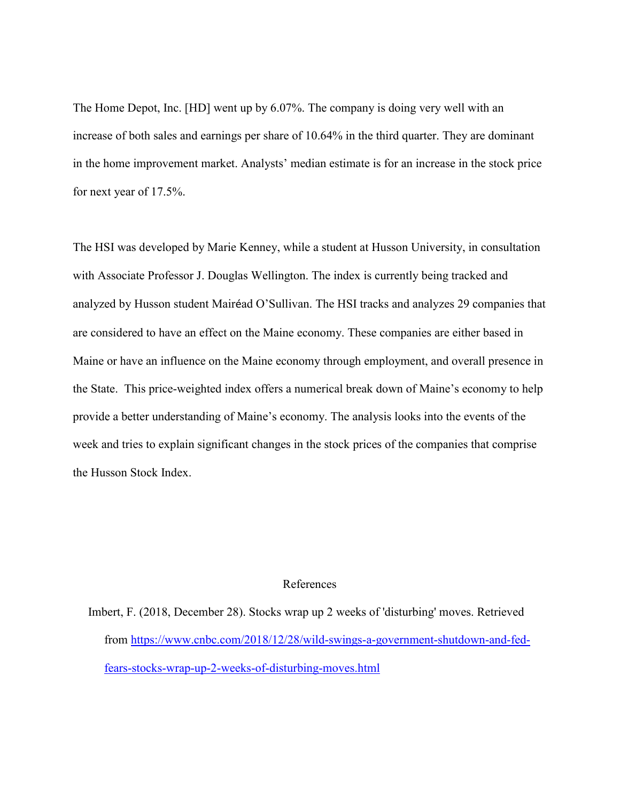The Home Depot, Inc. [HD] went up by 6.07%. The company is doing very well with an increase of both sales and earnings per share of 10.64% in the third quarter. They are dominant in the home improvement market. Analysts' median estimate is for an increase in the stock price for next year of 17.5%.

The HSI was developed by Marie Kenney, while a student at Husson University, in consultation with Associate Professor J. Douglas Wellington. The index is currently being tracked and analyzed by Husson student Mairéad O'Sullivan. The HSI tracks and analyzes 29 companies that are considered to have an effect on the Maine economy. These companies are either based in Maine or have an influence on the Maine economy through employment, and overall presence in the State. This price-weighted index offers a numerical break down of Maine's economy to help provide a better understanding of Maine's economy. The analysis looks into the events of the week and tries to explain significant changes in the stock prices of the companies that comprise the Husson Stock Index.

## References

Imbert, F. (2018, December 28). Stocks wrap up 2 weeks of 'disturbing' moves. Retrieved from [https://www.cnbc.com/2018/12/28/wild-swings-a-government-shutdown-and-fed](https://www.cnbc.com/2018/12/28/wild-swings-a-government-shutdown-and-fed-fears-stocks-wrap-up-2-weeks-of-disturbing-moves.html)[fears-stocks-wrap-up-2-weeks-of-disturbing-moves.html](https://www.cnbc.com/2018/12/28/wild-swings-a-government-shutdown-and-fed-fears-stocks-wrap-up-2-weeks-of-disturbing-moves.html)